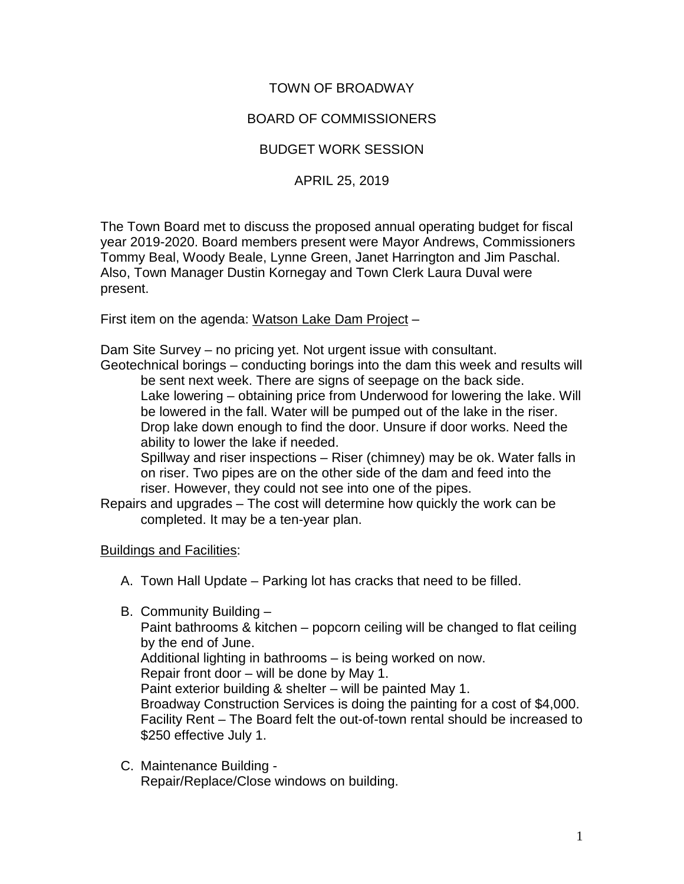# TOWN OF BROADWAY

## BOARD OF COMMISSIONERS

## BUDGET WORK SESSION

#### APRIL 25, 2019

The Town Board met to discuss the proposed annual operating budget for fiscal year 2019-2020. Board members present were Mayor Andrews, Commissioners Tommy Beal, Woody Beale, Lynne Green, Janet Harrington and Jim Paschal. Also, Town Manager Dustin Kornegay and Town Clerk Laura Duval were present.

First item on the agenda: Watson Lake Dam Project –

Dam Site Survey – no pricing yet. Not urgent issue with consultant.

Geotechnical borings – conducting borings into the dam this week and results will be sent next week. There are signs of seepage on the back side. Lake lowering – obtaining price from Underwood for lowering the lake. Will be lowered in the fall. Water will be pumped out of the lake in the riser. Drop lake down enough to find the door. Unsure if door works. Need the ability to lower the lake if needed.

Spillway and riser inspections – Riser (chimney) may be ok. Water falls in on riser. Two pipes are on the other side of the dam and feed into the riser. However, they could not see into one of the pipes.

Repairs and upgrades – The cost will determine how quickly the work can be completed. It may be a ten-year plan.

#### Buildings and Facilities:

- A. Town Hall Update Parking lot has cracks that need to be filled.
- B. Community Building –

Paint bathrooms & kitchen – popcorn ceiling will be changed to flat ceiling by the end of June.

Additional lighting in bathrooms – is being worked on now.

Repair front door – will be done by May 1.

Paint exterior building & shelter – will be painted May 1.

Broadway Construction Services is doing the painting for a cost of \$4,000. Facility Rent – The Board felt the out-of-town rental should be increased to \$250 effective July 1.

C. Maintenance Building - Repair/Replace/Close windows on building.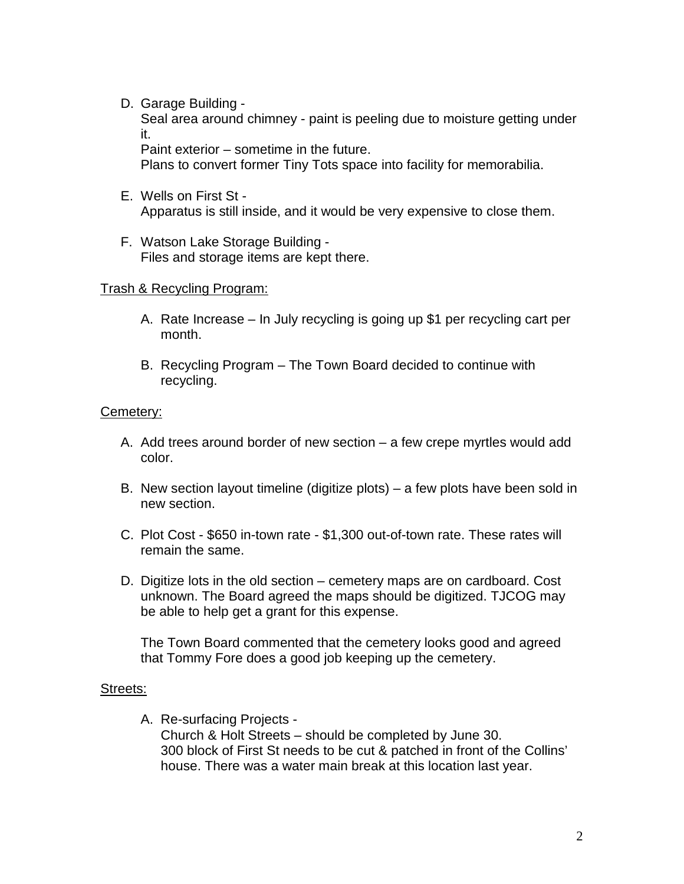D. Garage Building -

Seal area around chimney - paint is peeling due to moisture getting under it.

Paint exterior – sometime in the future.

Plans to convert former Tiny Tots space into facility for memorabilia.

- E. Wells on First St Apparatus is still inside, and it would be very expensive to close them.
- F. Watson Lake Storage Building Files and storage items are kept there.

#### Trash & Recycling Program:

- A. Rate Increase In July recycling is going up \$1 per recycling cart per month.
- B. Recycling Program The Town Board decided to continue with recycling.

#### Cemetery:

- A. Add trees around border of new section a few crepe myrtles would add color.
- B. New section layout timeline (digitize plots) a few plots have been sold in new section.
- C. Plot Cost \$650 in-town rate \$1,300 out-of-town rate. These rates will remain the same.
- D. Digitize lots in the old section cemetery maps are on cardboard. Cost unknown. The Board agreed the maps should be digitized. TJCOG may be able to help get a grant for this expense.

The Town Board commented that the cemetery looks good and agreed that Tommy Fore does a good job keeping up the cemetery.

#### Streets:

A. Re-surfacing Projects - Church & Holt Streets – should be completed by June 30. 300 block of First St needs to be cut & patched in front of the Collins' house. There was a water main break at this location last year.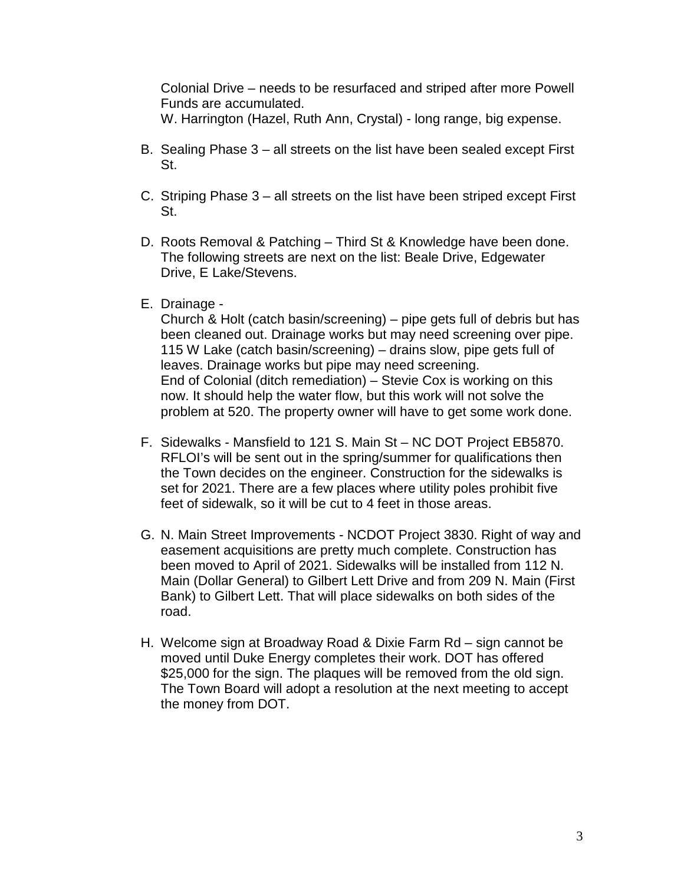Colonial Drive – needs to be resurfaced and striped after more Powell Funds are accumulated.

W. Harrington (Hazel, Ruth Ann, Crystal) - long range, big expense.

- B. Sealing Phase 3 all streets on the list have been sealed except First St.
- C. Striping Phase 3 all streets on the list have been striped except First St.
- D. Roots Removal & Patching Third St & Knowledge have been done. The following streets are next on the list: Beale Drive, Edgewater Drive, E Lake/Stevens.
- E. Drainage -

Church & Holt (catch basin/screening) – pipe gets full of debris but has been cleaned out. Drainage works but may need screening over pipe. 115 W Lake (catch basin/screening) – drains slow, pipe gets full of leaves. Drainage works but pipe may need screening. End of Colonial (ditch remediation) – Stevie Cox is working on this now. It should help the water flow, but this work will not solve the problem at 520. The property owner will have to get some work done.

- F. Sidewalks Mansfield to 121 S. Main St NC DOT Project EB5870. RFLOI's will be sent out in the spring/summer for qualifications then the Town decides on the engineer. Construction for the sidewalks is set for 2021. There are a few places where utility poles prohibit five feet of sidewalk, so it will be cut to 4 feet in those areas.
- G. N. Main Street Improvements NCDOT Project 3830. Right of way and easement acquisitions are pretty much complete. Construction has been moved to April of 2021. Sidewalks will be installed from 112 N. Main (Dollar General) to Gilbert Lett Drive and from 209 N. Main (First Bank) to Gilbert Lett. That will place sidewalks on both sides of the road.
- H. Welcome sign at Broadway Road & Dixie Farm Rd sign cannot be moved until Duke Energy completes their work. DOT has offered \$25,000 for the sign. The plagues will be removed from the old sign. The Town Board will adopt a resolution at the next meeting to accept the money from DOT.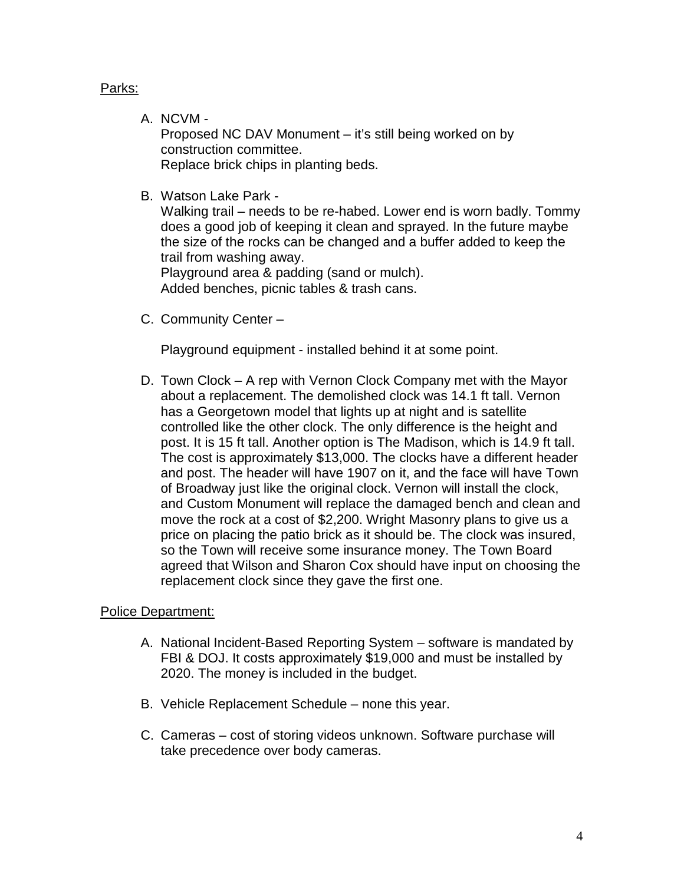Parks:

A. NCVM -

Proposed NC DAV Monument – it's still being worked on by construction committee. Replace brick chips in planting beds.

B. Watson Lake Park -

Walking trail – needs to be re-habed. Lower end is worn badly. Tommy does a good job of keeping it clean and sprayed. In the future maybe the size of the rocks can be changed and a buffer added to keep the trail from washing away.

Playground area & padding (sand or mulch). Added benches, picnic tables & trash cans.

C. Community Center –

Playground equipment - installed behind it at some point.

D. Town Clock – A rep with Vernon Clock Company met with the Mayor about a replacement. The demolished clock was 14.1 ft tall. Vernon has a Georgetown model that lights up at night and is satellite controlled like the other clock. The only difference is the height and post. It is 15 ft tall. Another option is The Madison, which is 14.9 ft tall. The cost is approximately \$13,000. The clocks have a different header and post. The header will have 1907 on it, and the face will have Town of Broadway just like the original clock. Vernon will install the clock, and Custom Monument will replace the damaged bench and clean and move the rock at a cost of \$2,200. Wright Masonry plans to give us a price on placing the patio brick as it should be. The clock was insured, so the Town will receive some insurance money. The Town Board agreed that Wilson and Sharon Cox should have input on choosing the replacement clock since they gave the first one.

Police Department:

- A. National Incident-Based Reporting System software is mandated by FBI & DOJ. It costs approximately \$19,000 and must be installed by 2020. The money is included in the budget.
- B. Vehicle Replacement Schedule none this year.
- C. Cameras cost of storing videos unknown. Software purchase will take precedence over body cameras.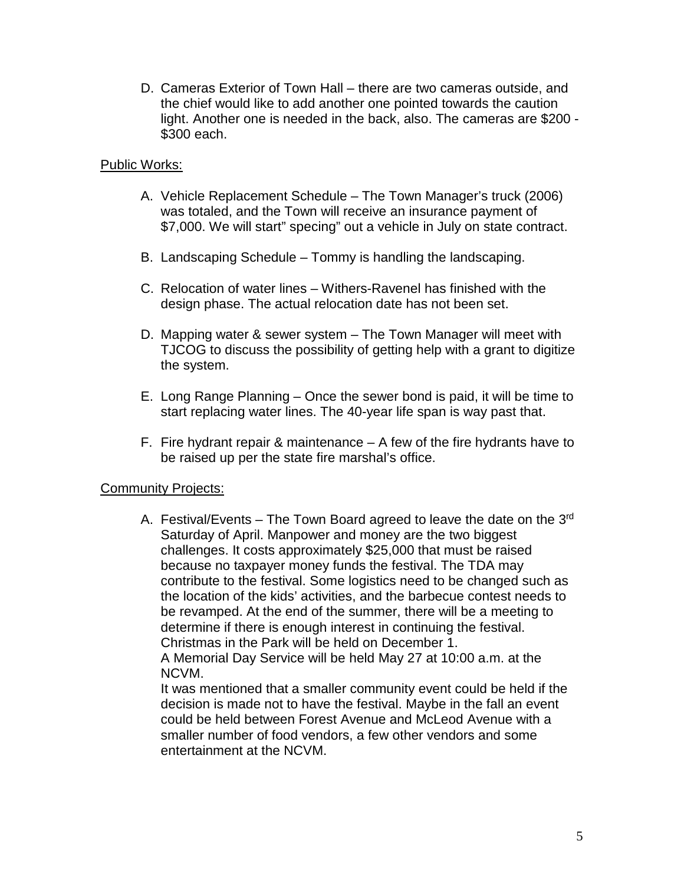D. Cameras Exterior of Town Hall – there are two cameras outside, and the chief would like to add another one pointed towards the caution light. Another one is needed in the back, also. The cameras are \$200 - \$300 each.

## Public Works:

- A. Vehicle Replacement Schedule The Town Manager's truck (2006) was totaled, and the Town will receive an insurance payment of \$7,000. We will start" specing" out a vehicle in July on state contract.
- B. Landscaping Schedule Tommy is handling the landscaping.
- C. Relocation of water lines Withers-Ravenel has finished with the design phase. The actual relocation date has not been set.
- D. Mapping water & sewer system The Town Manager will meet with TJCOG to discuss the possibility of getting help with a grant to digitize the system.
- E. Long Range Planning Once the sewer bond is paid, it will be time to start replacing water lines. The 40-year life span is way past that.
- F. Fire hydrant repair & maintenance  $-$  A few of the fire hydrants have to be raised up per the state fire marshal's office.

#### **Community Projects:**

A. Festival/Events – The Town Board agreed to leave the date on the  $3<sup>rd</sup>$ Saturday of April. Manpower and money are the two biggest challenges. It costs approximately \$25,000 that must be raised because no taxpayer money funds the festival. The TDA may contribute to the festival. Some logistics need to be changed such as the location of the kids' activities, and the barbecue contest needs to be revamped. At the end of the summer, there will be a meeting to determine if there is enough interest in continuing the festival. Christmas in the Park will be held on December 1. A Memorial Day Service will be held May 27 at 10:00 a.m. at the

NCVM.

It was mentioned that a smaller community event could be held if the decision is made not to have the festival. Maybe in the fall an event could be held between Forest Avenue and McLeod Avenue with a smaller number of food vendors, a few other vendors and some entertainment at the NCVM.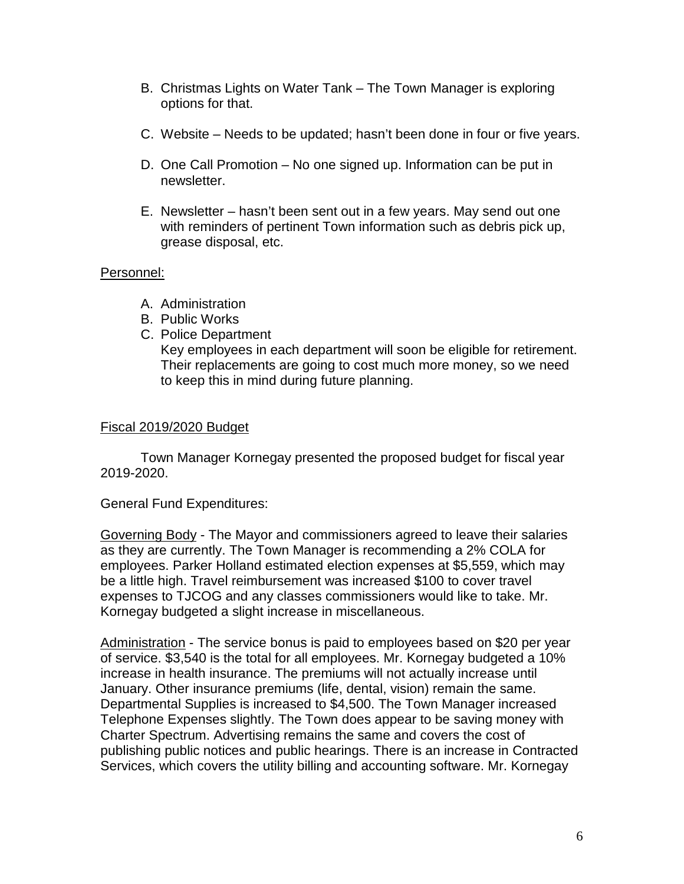- B. Christmas Lights on Water Tank The Town Manager is exploring options for that.
- C. Website Needs to be updated; hasn't been done in four or five years.
- D. One Call Promotion No one signed up. Information can be put in newsletter.
- E. Newsletter hasn't been sent out in a few years. May send out one with reminders of pertinent Town information such as debris pick up, grease disposal, etc.

## Personnel:

- A. Administration
- B. Public Works
- C. Police Department

Key employees in each department will soon be eligible for retirement. Their replacements are going to cost much more money, so we need to keep this in mind during future planning.

## Fiscal 2019/2020 Budget

Town Manager Kornegay presented the proposed budget for fiscal year 2019-2020.

#### General Fund Expenditures:

Governing Body - The Mayor and commissioners agreed to leave their salaries as they are currently. The Town Manager is recommending a 2% COLA for employees. Parker Holland estimated election expenses at \$5,559, which may be a little high. Travel reimbursement was increased \$100 to cover travel expenses to TJCOG and any classes commissioners would like to take. Mr. Kornegay budgeted a slight increase in miscellaneous.

Administration - The service bonus is paid to employees based on \$20 per year of service. \$3,540 is the total for all employees. Mr. Kornegay budgeted a 10% increase in health insurance. The premiums will not actually increase until January. Other insurance premiums (life, dental, vision) remain the same. Departmental Supplies is increased to \$4,500. The Town Manager increased Telephone Expenses slightly. The Town does appear to be saving money with Charter Spectrum. Advertising remains the same and covers the cost of publishing public notices and public hearings. There is an increase in Contracted Services, which covers the utility billing and accounting software. Mr. Kornegay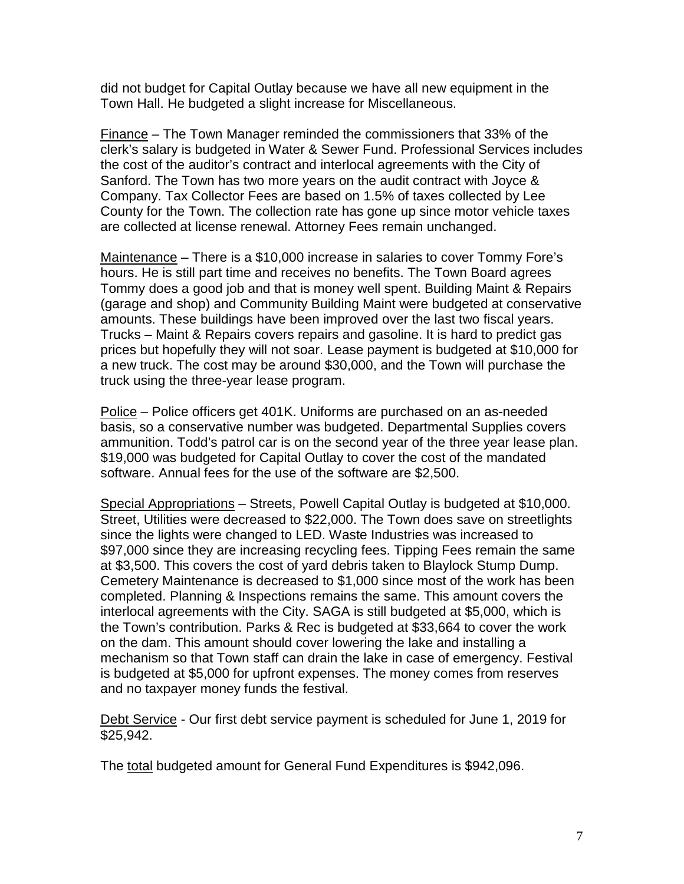did not budget for Capital Outlay because we have all new equipment in the Town Hall. He budgeted a slight increase for Miscellaneous.

Finance – The Town Manager reminded the commissioners that 33% of the clerk's salary is budgeted in Water & Sewer Fund. Professional Services includes the cost of the auditor's contract and interlocal agreements with the City of Sanford. The Town has two more years on the audit contract with Joyce & Company. Tax Collector Fees are based on 1.5% of taxes collected by Lee County for the Town. The collection rate has gone up since motor vehicle taxes are collected at license renewal. Attorney Fees remain unchanged.

Maintenance – There is a \$10,000 increase in salaries to cover Tommy Fore's hours. He is still part time and receives no benefits. The Town Board agrees Tommy does a good job and that is money well spent. Building Maint & Repairs (garage and shop) and Community Building Maint were budgeted at conservative amounts. These buildings have been improved over the last two fiscal years. Trucks – Maint & Repairs covers repairs and gasoline. It is hard to predict gas prices but hopefully they will not soar. Lease payment is budgeted at \$10,000 for a new truck. The cost may be around \$30,000, and the Town will purchase the truck using the three-year lease program.

Police – Police officers get 401K. Uniforms are purchased on an as-needed basis, so a conservative number was budgeted. Departmental Supplies covers ammunition. Todd's patrol car is on the second year of the three year lease plan. \$19,000 was budgeted for Capital Outlay to cover the cost of the mandated software. Annual fees for the use of the software are \$2,500.

Special Appropriations – Streets, Powell Capital Outlay is budgeted at \$10,000. Street, Utilities were decreased to \$22,000. The Town does save on streetlights since the lights were changed to LED. Waste Industries was increased to \$97,000 since they are increasing recycling fees. Tipping Fees remain the same at \$3,500. This covers the cost of yard debris taken to Blaylock Stump Dump. Cemetery Maintenance is decreased to \$1,000 since most of the work has been completed. Planning & Inspections remains the same. This amount covers the interlocal agreements with the City. SAGA is still budgeted at \$5,000, which is the Town's contribution. Parks & Rec is budgeted at \$33,664 to cover the work on the dam. This amount should cover lowering the lake and installing a mechanism so that Town staff can drain the lake in case of emergency. Festival is budgeted at \$5,000 for upfront expenses. The money comes from reserves and no taxpayer money funds the festival.

Debt Service - Our first debt service payment is scheduled for June 1, 2019 for \$25,942.

The total budgeted amount for General Fund Expenditures is \$942,096.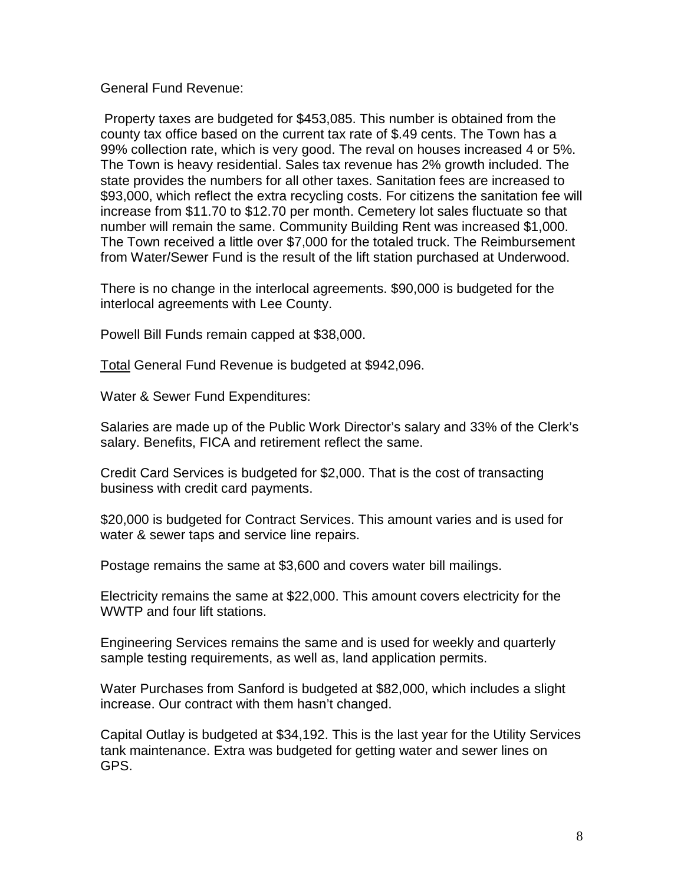General Fund Revenue:

Property taxes are budgeted for \$453,085. This number is obtained from the county tax office based on the current tax rate of \$.49 cents. The Town has a 99% collection rate, which is very good. The reval on houses increased 4 or 5%. The Town is heavy residential. Sales tax revenue has 2% growth included. The state provides the numbers for all other taxes. Sanitation fees are increased to \$93,000, which reflect the extra recycling costs. For citizens the sanitation fee will increase from \$11.70 to \$12.70 per month. Cemetery lot sales fluctuate so that number will remain the same. Community Building Rent was increased \$1,000. The Town received a little over \$7,000 for the totaled truck. The Reimbursement from Water/Sewer Fund is the result of the lift station purchased at Underwood.

There is no change in the interlocal agreements. \$90,000 is budgeted for the interlocal agreements with Lee County.

Powell Bill Funds remain capped at \$38,000.

Total General Fund Revenue is budgeted at \$942,096.

Water & Sewer Fund Expenditures:

Salaries are made up of the Public Work Director's salary and 33% of the Clerk's salary. Benefits, FICA and retirement reflect the same.

Credit Card Services is budgeted for \$2,000. That is the cost of transacting business with credit card payments.

\$20,000 is budgeted for Contract Services. This amount varies and is used for water & sewer taps and service line repairs.

Postage remains the same at \$3,600 and covers water bill mailings.

Electricity remains the same at \$22,000. This amount covers electricity for the WWTP and four lift stations.

Engineering Services remains the same and is used for weekly and quarterly sample testing requirements, as well as, land application permits.

Water Purchases from Sanford is budgeted at \$82,000, which includes a slight increase. Our contract with them hasn't changed.

Capital Outlay is budgeted at \$34,192. This is the last year for the Utility Services tank maintenance. Extra was budgeted for getting water and sewer lines on GPS.